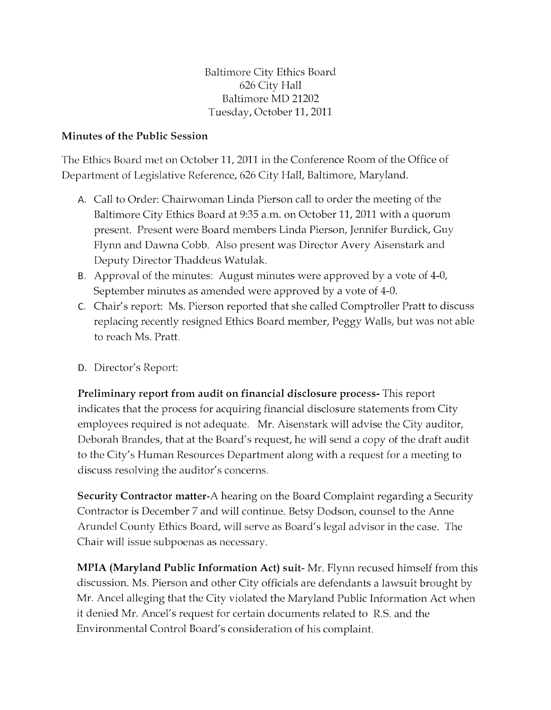Baltimore City Ethics Board 626 City Hall Baltimore MD 21202 Tuesday, October 11, 2011

## Minutes of the Public Session

The Ethics Board met on October 11, 2011 in the Conference Room of the Office of Department of Legislative Reference, 626 City Hall, Baltimore, Maryland.

- A. Call to Order: Chairwoman Linda Pierson call to order the meeting of the Baltimore City Ethics Board at 9:35 a.m. on October 11, 2011 with a quorum present. Present were Board members Linda Pierson, Jennifer Burdick, Guy Flynn and Dawna Cobb. Also present was Director Avery Aisenstark and Deputy Director Thaddeus Watulak.
- B. Approval of the minutes: August minutes were approved by a vote of 4-0, September minutes as amended were approved by a vote of 4-0.
- C. Chair's report: Ms. Pierson reported that she called Comptroller Pratt to discuss replacing recently resigned Ethics Board member, Peggy Walls, but was not able to reach Ms. Pratt.
- D. Director's Report:

Preliminary report from audit on financial disclosure process- This report indicates that the process for acquiring financial disclosure statements from City employees required is not adequate. Mr. Aisenstark will advise the City auditor, Deborah Brandes, that at the Board's request, he will send a copy of the draft audit to the City's Human Resources Department along with a request for a meeting to discuss resolving the auditor's concerns.

Security Contractor matter-A hearing on the Board Complaint regarding a Security Contractor is December 7 and will continue. Betsy Dodson, counsel to the Anne Arundel County Ethics Board, will serve as Board's legal advisor in the case. The Chair will issue subpoenas as necessary.

MPIA (Maryland Public Information Act) suit- Mr. Flynn recused himself from this discussion. Ms. Pierson and other City officials are defendants a lawsuit brought by Mr. Ancel alleging that the City violated the Maryland Public Information Act when it denied Mr. Ancel's request for certain documents related to R.S. and the Environmental Control Board's consideration of his complaint.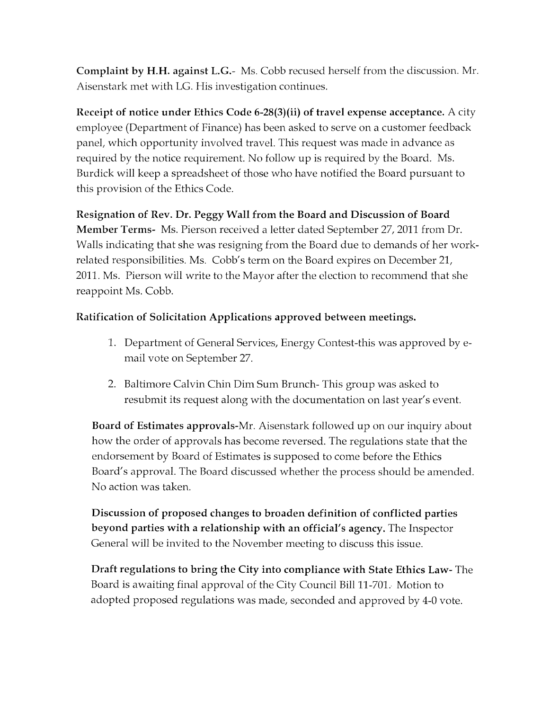**Complaint by H.H. against L.G.-** Ms. Cobb recused herself from the discussion. Mr. Aisenstark met with LG. His investigation continues.

**Receipt of notice under Ethics Code 6-28(3)(ii) of travel expense acceptance.** A city employee (Department of Finance) has been asked to serve on a customer feedback panel, which opportunity involved travel. This request was made in advance as required by the notice requirement. No follow up is required by the Board. Ms. Burdick will keep a spreadsheet of those who have notified the Board pursuant to this provision of the Ethics Code.

## **Resignation of Rev. Dr. Peggy Wall from the Board and Discussion of Board**

**Member Terms-** Ms. Pierson received a letter dated September 27, 2011 from Dr. Walls indicating that she was resigning from the Board due to demands of her workrelated responsibilities. Ms. Cobb's term on the Board expires on December 21, 2011. Ms. Pierson will write to the Mayor after the election to recommend that she reappoint Ms. Cobb.

## **Ratification of Solicitation Applications approved between meetings.**

- 1. Department of General Services, Energy Contest-this was approved byemail vote on September 27.
- 2. Baltimore Calvin Chin Dim Sum Brunch- This group was asked to resubmit its request along with the documentation on last year's event.

**Board of Estimates approvals-Mr.** Aisenstark followed up on our inquiry about how the order of approvals has become reversed. The regulations state that the endorsement by Board of Estimates is supposed to come before the Ethics Board's approvaL The Board discussed whether the process should be amended. No action was taken.

**Discussion of proposed changes to broaden definition of conflicted parties beyond parties with a relationship with an official's agency.** The Inspector General will be invited to the November meeting to discuss this issue.

**Draft regulations to bring the City into compliance with State Ethics Law-** The Board is awaiting final approval of the City Council Bill 11-701. Motion to adopted proposed regulations was made, seconded and approved by 4-0 vote.